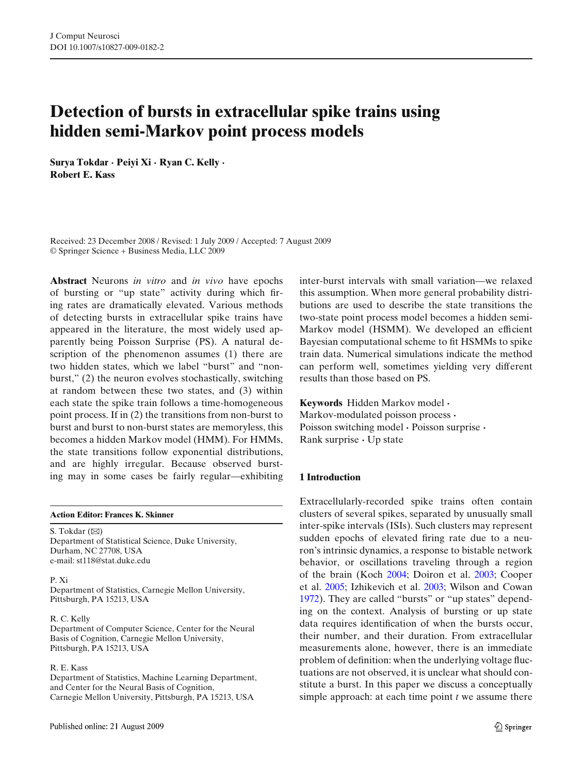# **Detection of bursts in extracellular spike trains using hidden semi-Markov point process models**

**Surya Tokdar · Peiyi Xi · Ryan C. Kelly · Robert E. Kass**

Received: 23 December 2008 / Revised: 1 July 2009 / Accepted: 7 August 2009 © Springer Science + Business Media, LLC 2009

**Abstract** Neurons *in vitro* and *in vivo* have epochs of bursting or "up state" activity during which firing rates are dramatically elevated. Various methods of detecting bursts in extracellular spike trains have appeared in the literature, the most widely used apparently being Poisson Surprise (PS). A natural description of the phenomenon assumes (1) there are two hidden states, which we label "burst" and "nonburst," (2) the neuron evolves stochastically, switching at random between these two states, and (3) within each state the spike train follows a time-homogeneous point process. If in (2) the transitions from non-burst to burst and burst to non-burst states are memoryless, this becomes a hidden Markov model (HMM). For HMMs, the state transitions follow exponential distributions, and are highly irregular. Because observed bursting may in some cases be fairly regular—exhibiting

**Action Editor: Frances K. Skinner**

S. Tokdar  $(\boxtimes)$ Department of Statistical Science, Duke University, Durham, NC 27708, USA e-mail: st118@stat.duke.edu

#### P. Xi

Department of Statistics, Carnegie Mellon University, Pittsburgh, PA 15213, USA

#### R. C. Kelly

Department of Computer Science, Center for the Neural Basis of Cognition, Carnegie Mellon University, Pittsburgh, PA 15213, USA

## R. E. Kass

Department of Statistics, Machine Learning Department, and Center for the Neural Basis of Cognition, Carnegie Mellon University, Pittsburgh, PA 15213, USA

inter-burst intervals with small variation—we relaxed this assumption. When more general probability distributions are used to describe the state transitions the two-state point process model becomes a hidden semi-Markov model (HSMM). We developed an efficient Bayesian computational scheme to fit HSMMs to spike train data. Numerical simulations indicate the method can perform well, sometimes yielding very different results than those based on PS.

**Keywords** Hidden Markov model **·** Markov-modulated poisson process **·** Poisson switching model **·** Poisson surprise **·** Rank surprise **·** Up state

## **1 Introduction**

Extracellularly-recorded spike trains often contain clusters of several spikes, separated by unusually small inter-spike intervals (ISIs). Such clusters may represent sudden epochs of elevated firing rate due to a neuron's intrinsic dynamics, a response to bistable network behavior, or oscillations traveling through a region of the brain (Koc[h](#page-9-0) [2004;](#page-9-0) Doiron et al[.](#page-9-0) [2003;](#page-9-0) Cooper et al[.](#page-8-0) [2005](#page-8-0); Izhikevich et al[.](#page-9-0) [2003](#page-9-0); Wilson and Cowa[n](#page-9-0) [1972](#page-9-0)). They are called "bursts" or "up states" depending on the context. Analysis of bursting or up state data requires identification of when the bursts occur, their number, and their duration. From extracellular measurements alone, however, there is an immediate problem of definition: when the underlying voltage fluctuations are not observed, it is unclear what should constitute a burst. In this paper we discuss a conceptually simple approach: at each time point *t* we assume there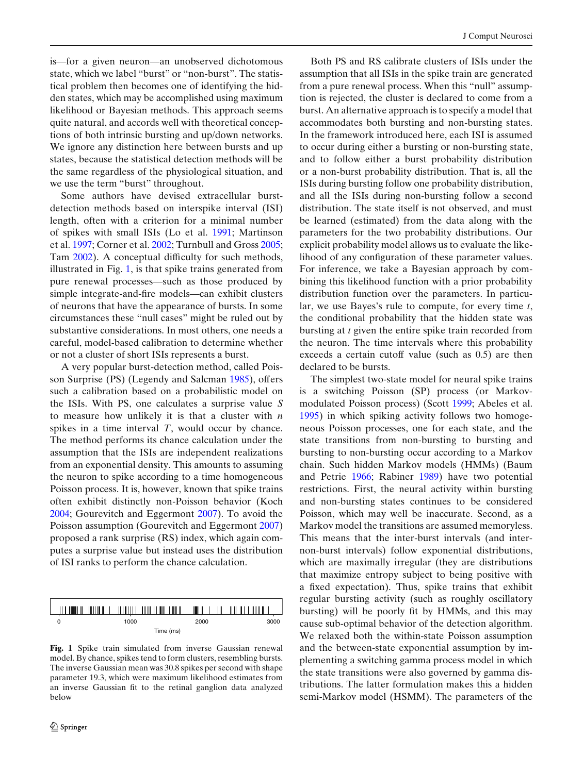<span id="page-1-0"></span>is—for a given neuron—an unobserved dichotomous state, which we label "burst" or "non-burst". The statistical problem then becomes one of identifying the hidden states, which may be accomplished using maximum likelihood or Bayesian methods. This approach seems

quite natural, and accords well with theoretical conceptions of both intrinsic bursting and up/down networks. We ignore any distinction here between bursts and up states, because the statistical detection methods will be the same regardless of the physiological situation, and we use the term "burst" throughout.

Some authors have devised extracellular burstdetection methods based on interspike interval (ISI) length, often with a criterion for a minimal number of spikes with small ISIs (Lo et al[.](#page-9-0) [1991](#page-9-0); Martinson et al[.](#page-9-0) [1997](#page-9-0); Corner et al[.](#page-8-0) [2002](#page-8-0); Turnbull and Gros[s](#page-9-0) [2005;](#page-9-0) Ta[m](#page-9-0) [2002\)](#page-9-0). A conceptual difficulty for such methods, illustrated in Fig. 1, is that spike trains generated from pure renewal processes—such as those produced by simple integrate-and-fire models—can exhibit clusters of neurons that have the appearance of bursts. In some circumstances these "null cases" might be ruled out by substantive considerations. In most others, one needs a careful, model-based calibration to determine whether or not a cluster of short ISIs represents a burst.

A very popular burst-detection method, called Poisson Surprise (PS) (Legendy and Salcma[n](#page-9-0) [1985\)](#page-9-0), offers such a calibration based on a probabilistic model on the ISIs. With PS, one calculates a surprise value *S* to measure how unlikely it is that a cluster with *n* spikes in a time interval *T*, would occur by chance. The method performs its chance calculation under the assumption that the ISIs are independent realizations from an exponential density. This amounts to assuming the neuron to spike according to a time homogeneous Poisson process. It is, however, known that spike trains often exhibit distinctly non-Poisson behavior (Koc[h](#page-9-0) [2004](#page-9-0); Gourevitch and Eggermon[t](#page-9-0) [2007](#page-9-0)). To avoid the Poisson assumption (Gourevitch and Eggermon[t](#page-9-0) [2007](#page-9-0)) proposed a rank surprise (RS) index, which again computes a surprise value but instead uses the distribution of ISI ranks to perform the chance calculation.

|           | <b>TILL II</b><br>. | Ш<br>III | $\blacksquare$ $\blacksquare$ $\blacksquare$ $\blacksquare$ $\blacksquare$ |  |  |  |
|-----------|---------------------|----------|----------------------------------------------------------------------------|--|--|--|
|           | 1000                | 2000     | 3000                                                                       |  |  |  |
| Time (ms) |                     |          |                                                                            |  |  |  |

**Fig. 1** Spike train simulated from inverse Gaussian renewal model. By chance, spikes tend to form clusters, resembling bursts. The inverse Gaussian mean was 30.8 spikes per second with shape parameter 19.3, which were maximum likelihood estimates from an inverse Gaussian fit to the retinal ganglion data analyzed below

Both PS and RS calibrate clusters of ISIs under the assumption that all ISIs in the spike train are generated from a pure renewal process. When this "null" assumption is rejected, the cluster is declared to come from a burst. An alternative approach is to specify a model that accommodates both bursting and non-bursting states. In the framework introduced here, each ISI is assumed to occur during either a bursting or non-bursting state, and to follow either a burst probability distribution or a non-burst probability distribution. That is, all the ISIs during bursting follow one probability distribution, and all the ISIs during non-bursting follow a second distribution. The state itself is not observed, and must be learned (estimated) from the data along with the parameters for the two probability distributions. Our explicit probability model allows us to evaluate the likelihood of any configuration of these parameter values. For inference, we take a Bayesian approach by combining this likelihood function with a prior probability distribution function over the parameters. In particular, we use Bayes's rule to compute, for every time *t*, the conditional probability that the hidden state was bursting at *t* given the entire spike train recorded from the neuron. The time intervals where this probability exceeds a certain cutoff value (such as 0.5) are then declared to be bursts.

The simplest two-state model for neural spike trains is a switching Poisson (SP) process (or Markovmodulated Poisson process) (Scot[t](#page-9-0) [1999](#page-9-0); Abeles et al[.](#page-8-0) [1995](#page-8-0)) in which spiking activity follows two homogeneous Poisson processes, one for each state, and the state transitions from non-bursting to bursting and bursting to non-bursting occur according to a Markov chain. Such hidden Markov models (HMMs) (Baum and Petri[e](#page-8-0) [1966](#page-8-0); Rabine[r](#page-9-0) [1989](#page-9-0)) have two potential restrictions. First, the neural activity within bursting and non-bursting states continues to be considered Poisson, which may well be inaccurate. Second, as a Markov model the transitions are assumed memoryless. This means that the inter-burst intervals (and internon-burst intervals) follow exponential distributions, which are maximally irregular (they are distributions that maximize entropy subject to being positive with a fixed expectation). Thus, spike trains that exhibit regular bursting activity (such as roughly oscillatory bursting) will be poorly fit by HMMs, and this may cause sub-optimal behavior of the detection algorithm. We relaxed both the within-state Poisson assumption and the between-state exponential assumption by implementing a switching gamma process model in which the state transitions were also governed by gamma distributions. The latter formulation makes this a hidden semi-Markov model (HSMM). The parameters of the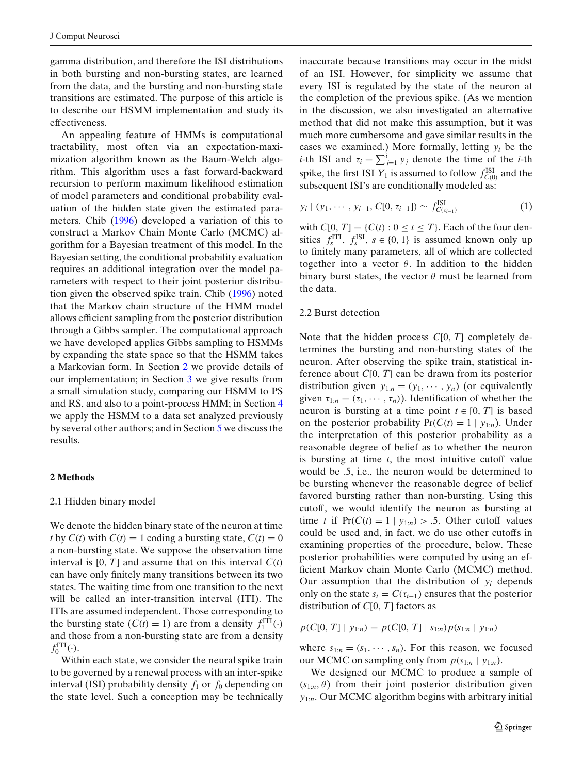gamma distribution, and therefore the ISI distributions in both bursting and non-bursting states, are learned from the data, and the bursting and non-bursting state transitions are estimated. The purpose of this article is to describe our HSMM implementation and study its effectiveness.

An appealing feature of HMMs is computational tractability, most often via an expectation-maximization algorithm known as the Baum-Welch algorithm. This algorithm uses a fast forward-backward recursion to perform maximum likelihood estimation of model parameters and conditional probability evaluation of the hidden state given the estimated parameters. Chi[b](#page-8-0) [\(1996\)](#page-8-0) developed a variation of this to construct a Markov Chain Monte Carlo (MCMC) algorithm for a Bayesian treatment of this model. In the Bayesian setting, the conditional probability evaluation requires an additional integration over the model parameters with respect to their joint posterior distribution given the observed spike train. Chi[b](#page-8-0) [\(1996](#page-8-0)) noted that the Markov chain structure of the HMM model allows efficient sampling from the posterior distribution through a Gibbs sampler. The computational approach we have developed applies Gibbs sampling to HSMMs by expanding the state space so that the HSMM takes a Markovian form. In Section 2 we provide details of our implementation; in Section [3](#page-4-0) we give results from a small simulation study, comparing our HSMM to PS and RS, and also to a point-process HMM; in Section [4](#page-7-0) we apply the HSMM to a data set analyzed previously by several other authors; and in Section [5](#page-8-0) we discuss the results.

## **2 Methods**

## 2.1 Hidden binary model

We denote the hidden binary state of the neuron at time *t* by  $C(t)$  with  $C(t) = 1$  coding a bursting state,  $C(t) = 0$ a non-bursting state. We suppose the observation time interval is  $[0, T]$  and assume that on this interval  $C(t)$ can have only finitely many transitions between its two states. The waiting time from one transition to the next will be called an inter-transition interval (ITI). The ITIs are assumed independent. Those corresponding to the bursting state  $(C(t) = 1)$  are from a density  $f_1^{\text{ITI}}(\cdot)$ and those from a non-bursting state are from a density  $f_0^{\text{ITI}}(\cdot).$ 

Within each state, we consider the neural spike train to be governed by a renewal process with an inter-spike interval (ISI) probability density  $f_1$  or  $f_0$  depending on the state level. Such a conception may be technically inaccurate because transitions may occur in the midst of an ISI. However, for simplicity we assume that every ISI is regulated by the state of the neuron at the completion of the previous spike. (As we mention in the discussion, we also investigated an alternative method that did not make this assumption, but it was much more cumbersome and gave similar results in the cases we examined.) More formally, letting *yi* be the *i*-th ISI and  $\tau_i = \sum_{j=1}^i y_j$  denote the time of the *i*-th spike, the first ISI  $Y_1$  is assumed to follow  $f_{C(0)}^{ISI}$  and the subsequent ISI's are conditionally modeled as:

$$
y_i \mid (y_1, \cdots, y_{i-1}, C[0, \tau_{i-1}]) \sim f^{\text{ISI}}_{C(\tau_{i-1})}
$$
 (1)

with  $C[0, T] = \{C(t) : 0 \le t \le T\}$ . Each of the four densities  $f_s^{\text{ITI}}$ ,  $f_s^{\text{ISI}}$ ,  $s \in \{0, 1\}$  is assumed known only up to finitely many parameters, all of which are collected together into a vector  $\theta$ . In addition to the hidden binary burst states, the vector  $\theta$  must be learned from the data.

## 2.2 Burst detection

Note that the hidden process *C*[0, *T*] completely determines the bursting and non-bursting states of the neuron. After observing the spike train, statistical inference about *C*[0, *T*] can be drawn from its posterior distribution given  $y_{1:n} = (y_1, \dots, y_n)$  (or equivalently given  $\tau_{1:n} = (\tau_1, \dots, \tau_n)$ ). Identification of whether the neuron is bursting at a time point  $t \in [0, T]$  is based on the posterior probability  $Pr(C(t) = 1 | y_{1:n})$ . Under the interpretation of this posterior probability as a reasonable degree of belief as to whether the neuron is bursting at time *t*, the most intuitive cutoff value would be .5, i.e., the neuron would be determined to be bursting whenever the reasonable degree of belief favored bursting rather than non-bursting. Using this cutoff, we would identify the neuron as bursting at time *t* if  $Pr(C(t) = 1 | y_{1:n}) > .5$ . Other cutoff values could be used and, in fact, we do use other cutoffs in examining properties of the procedure, below. These posterior probabilities were computed by using an efficient Markov chain Monte Carlo (MCMC) method. Our assumption that the distribution of  $y_i$  depends only on the state  $s_i = C(\tau_{i-1})$  ensures that the posterior distribution of *C*[0, *T*] factors as

 $p(C[0, T] | y_{1:n}) = p(C[0, T] | s_{1:n}) p(s_{1:n} | y_{1:n})$ 

where  $s_{1:n} = (s_1, \dots, s_n)$ . For this reason, we focused our MCMC on sampling only from  $p(s_{1:n} | y_{1:n})$ .

We designed our MCMC to produce a sample of  $(s_{1:n}, \theta)$  from their joint posterior distribution given *y*1:*n*. Our MCMC algorithm begins with arbitrary initial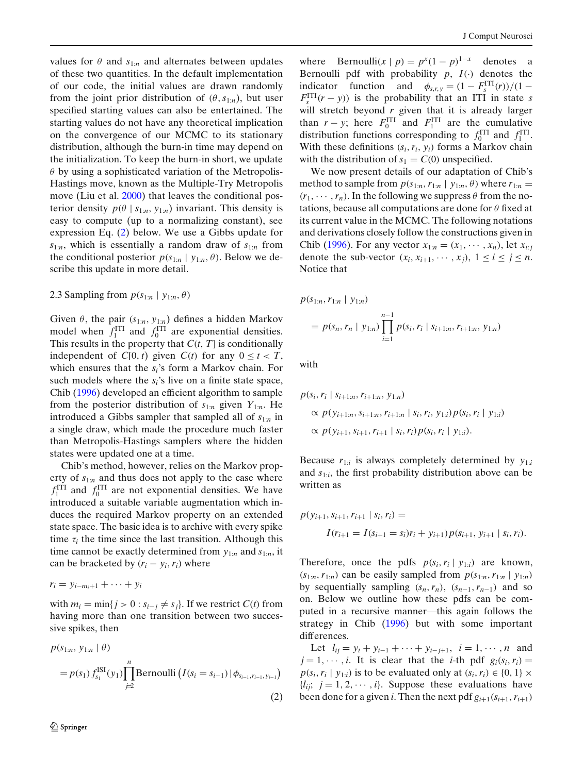values for  $\theta$  and  $s_{1:n}$  and alternates between updates of these two quantities. In the default implementation of our code, the initial values are drawn randomly from the joint prior distribution of  $(\theta, s_{1:n})$ , but user specified starting values can also be entertained. The starting values do not have any theoretical implication on the convergence of our MCMC to its stationary distribution, although the burn-in time may depend on the initialization. To keep the burn-in short, we update  $\theta$  by using a sophisticated variation of the Metropolis-Hastings move, known as the Multiple-Try Metropolis move (Liu et al[.](#page-9-0) [2000\)](#page-9-0) that leaves the conditional posterior density  $p(\theta | s_{1:n}, y_{1:n})$  invariant. This density is easy to compute (up to a normalizing constant), see expression Eq. (2) below. We use a Gibbs update for *s*1:*n*, which is essentially a random draw of *s*1:*<sup>n</sup>* from the conditional posterior  $p(s_{1:n} | y_{1:n}, \theta)$ . Below we describe this update in more detail.

## 2.3 Sampling from  $p(s_{1:n} | y_{1:n}, \theta)$

Given  $\theta$ , the pair  $(s_{1:n}, y_{1:n})$  defines a hidden Markov model when  $f_1^{\text{ITI}}$  and  $f_0^{\text{ITI}}$  are exponential densities. This results in the property that *C*(*t*, *T*] is conditionally independent of  $C[0, t)$  given  $C(t)$  for any  $0 \le t < T$ , which ensures that the *si*'s form a Markov chain. For such models where the *si*'s live on a finite state space, Chi[b](#page-8-0) [\(1996](#page-8-0)) developed an efficient algorithm to sample from the posterior distribution of  $s_{1:n}$  given  $Y_{1:n}$ . He introduced a Gibbs sampler that sampled all of *s*1:*<sup>n</sup>* in a single draw, which made the procedure much faster than Metropolis-Hastings samplers where the hidden states were updated one at a time.

Chib's method, however, relies on the Markov property of  $s_{1:n}$  and thus does not apply to the case where  $f_1^{\text{ITI}}$  and  $f_0^{\text{ITI}}$  are not exponential densities. We have introduced a suitable variable augmentation which induces the required Markov property on an extended state space. The basic idea is to archive with every spike time  $\tau_i$  the time since the last transition. Although this time cannot be exactly determined from  $y_{1:n}$  and  $s_{1:n}$ , it can be bracketed by  $(r_i - y_i, r_i)$  where

$$
r_i = y_{i-m_i+1} + \cdots + y_i
$$

with  $m_i = \min\{j > 0 : s_{i-j} \neq s_j\}$ . If we restrict  $C(t)$  from having more than one transition between two successive spikes, then

$$
p(s_{1:n}, y_{1:n} | \theta)
$$
  
=  $p(s_1) f_{s_1}^{ISI}(y_1) \prod_{j=2}^n \text{Bernoulli} (I(s_i = s_{i-1}) | \phi_{s_{i-1}, r_{i-1}, y_{i-1}})$   
(2)

where Bernoulli $(x | p) = p^x (1-p)^{1-x}$  denotes a Bernoulli pdf with probability  $p$ ,  $I(\cdot)$  denotes the indicator function and  $\phi_{s,r,y} = (1 - F_s^{\text{ITI}}(r))/(1 F_s^{\text{ITI}}(r - y)$  is the probability that an ITI in state *s* will stretch beyond *r* given that it is already larger than  $r - y$ ; here  $F_0^{\text{ITI}}$  and  $F_1^{\text{ITI}}$  are the cumulative distribution functions corresponding to  $f_0^{\text{ITI}}$  and  $f_1^{\text{ITI}}$ . With these definitions  $(s_i, r_i, y_i)$  forms a Markov chain with the distribution of  $s_1 = C(0)$  unspecified.

We now present details of our adaptation of Chib's method to sample from  $p(s_{1:n}, r_{1:n} | y_{1:n}, \theta)$  where  $r_{1:n} =$  $(r_1, \dots, r_n)$ . In the following we suppress  $\theta$  from the notations, because all computations are done for  $\theta$  fixed at its current value in the MCMC. The following notations and derivations closely follow the constructions given in Chi[b](#page-8-0) [\(1996](#page-8-0)). For any vector  $x_{1:n} = (x_1, \dots, x_n)$ , let  $x_{i:i}$ denote the sub-vector  $(x_i, x_{i+1}, \dots, x_j)$ ,  $1 \le i \le j \le n$ . Notice that

$$
p(s_{1:n}, r_{1:n} | y_{1:n})
$$
  
=  $p(s_n, r_n | y_{1:n}) \prod_{i=1}^{n-1} p(s_i, r_i | s_{i+1:n}, r_{i+1:n}, y_{1:n})$ 

with

$$
p(s_i, r_i | s_{i+1:n}, r_{i+1:n}, y_{1:n})
$$
  
\n
$$
\propto p(y_{i+1:n}, s_{i+1:n}, r_{i+1:n} | s_i, r_i, y_{1:i}) p(s_i, r_i | y_{1:i})
$$
  
\n
$$
\propto p(y_{i+1}, s_{i+1}, r_{i+1} | s_i, r_i) p(s_i, r_i | y_{1:i}).
$$

Because  $r_{1:i}$  is always completely determined by  $y_{1:i}$ and *s*1:*i*, the first probability distribution above can be written as

$$
p(y_{i+1}, s_{i+1}, r_{i+1} | s_i, r_i) =
$$
  

$$
I(r_{i+1} = I(s_{i+1} = s_i)r_i + y_{i+1})p(s_{i+1}, y_{i+1} | s_i, r_i).
$$

Therefore, once the pdfs  $p(s_i, r_i | y_{1:i})$  are known,  $(s_{1:n}, r_{1:n})$  can be easily sampled from  $p(s_{1:n}, r_{1:n} | y_{1:n})$ by sequentially sampling  $(s_n, r_n)$ ,  $(s_{n-1}, r_{n-1})$  and so on. Below we outline how these pdfs can be computed in a recursive manner—this again follows the strategy in Chi[b](#page-8-0) [\(1996](#page-8-0)) but with some important differences.

Let  $l_{ij} = y_i + y_{i-1} + \cdots + y_{i-j+1}, i = 1, \cdots, n$  and  $j = 1, \dots, i$ . It is clear that the *i*-th pdf  $g_i(s_i, r_i) =$  $p(s_i, r_i | y_{1:i})$  is to be evaluated only at  $(s_i, r_i) \in \{0, 1\} \times$  ${l_{ij}}$ ;  $j = 1, 2, \cdots, i$ . Suppose these evaluations have been done for a given *i*. Then the next pdf  $g_{i+1}(s_{i+1}, r_{i+1})$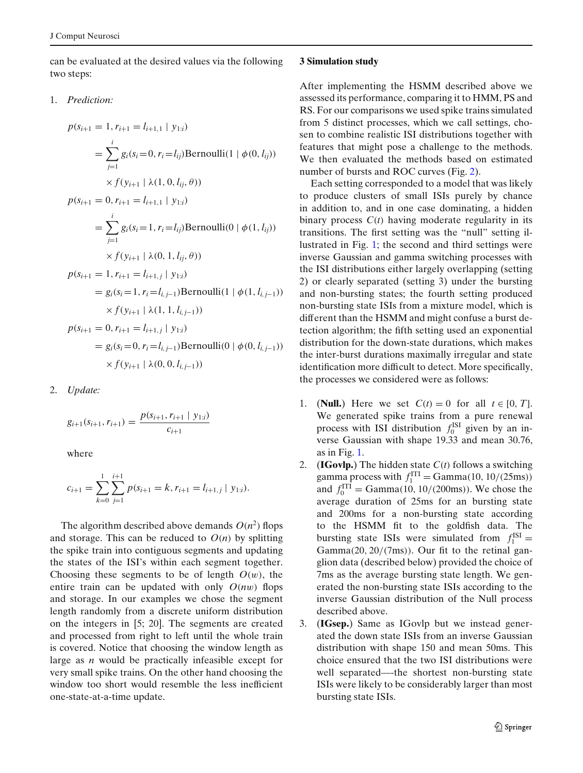<span id="page-4-0"></span>can be evaluated at the desired values via the following two steps:

1. *Prediction:*

$$
p(s_{i+1} = 1, r_{i+1} = l_{i+1,1} | y_{1:i})
$$
  
\n
$$
= \sum_{j=1}^{i} g_i(s_i = 0, r_i = l_{ij}) \text{Bernoulli}(1 | \phi(0, l_{ij}))
$$
  
\n
$$
\times f(y_{i+1} | \lambda(1, 0, l_{ij}, \theta))
$$
  
\n
$$
p(s_{i+1} = 0, r_{i+1} = l_{i+1,1} | y_{1:i})
$$
  
\n
$$
= \sum_{j=1}^{i} g_i(s_i = 1, r_i = l_{ij}) \text{Bernoulli}(0 | \phi(1, l_{ij}))
$$
  
\n
$$
\times f(y_{i+1} | \lambda(0, 1, l_{ij}, \theta))
$$
  
\n
$$
p(s_{i+1} = 1, r_{i+1} = l_{i+1,j} | y_{1:i})
$$
  
\n
$$
= g_i(s_i = 1, r_i = l_{i,j-1}) \text{Bernoulli}(1 | \phi(1, l_{i,j-1}))
$$
  
\n
$$
\times f(y_{i+1} | \lambda(1, 1, l_{i,j-1}))
$$
  
\n
$$
p(s_{i+1} = 0, r_{i+1} = l_{i+1,j} | y_{1:i})
$$
  
\n
$$
= g_i(s_i = 0, r_i = l_{i,j-1}) \text{Bernoulli}(0 | \phi(0, l_{i,j-1}))
$$
  
\n
$$
\times f(y_{i+1} | \lambda(0, 0, l_{i,j-1}))
$$

2. *Update:*

$$
g_{i+1}(s_{i+1}, r_{i+1}) = \frac{p(s_{i+1}, r_{i+1} \mid y_{1:i})}{c_{i+1}}
$$

where

$$
c_{i+1} = \sum_{k=0}^{1} \sum_{j=1}^{i+1} p(s_{i+1} = k, r_{i+1} = l_{i+1,j} | y_{1:i}).
$$

The algorithm described above demands  $O(n^2)$  flops and storage. This can be reduced to  $O(n)$  by splitting the spike train into contiguous segments and updating the states of the ISI's within each segment together. Choosing these segments to be of length  $O(w)$ , the entire train can be updated with only  $O(nw)$  flops and storage. In our examples we chose the segment length randomly from a discrete uniform distribution on the integers in [5; 20]. The segments are created and processed from right to left until the whole train is covered. Notice that choosing the window length as large as *n* would be practically infeasible except for very small spike trains. On the other hand choosing the window too short would resemble the less inefficient one-state-at-a-time update.

## **3 Simulation study**

After implementing the HSMM described above we assessed its performance, comparing it to HMM, PS and RS. For our comparisons we used spike trains simulated from 5 distinct processes, which we call settings, chosen to combine realistic ISI distributions together with features that might pose a challenge to the methods. We then evaluated the methods based on estimated number of bursts and ROC curves (Fig. [2\)](#page-5-0).

Each setting corresponded to a model that was likely to produce clusters of small ISIs purely by chance in addition to, and in one case dominating, a hidden binary process *C*(*t*) having moderate regularity in its transitions. The first setting was the "null" setting illustrated in Fig. [1;](#page-1-0) the second and third settings were inverse Gaussian and gamma switching processes with the ISI distributions either largely overlapping (setting 2) or clearly separated (setting 3) under the bursting and non-bursting states; the fourth setting produced non-bursting state ISIs from a mixture model, which is different than the HSMM and might confuse a burst detection algorithm; the fifth setting used an exponential distribution for the down-state durations, which makes the inter-burst durations maximally irregular and state identification more difficult to detect. More specifically, the processes we considered were as follows:

- 1. (**Null.**) Here we set  $C(t) = 0$  for all  $t \in [0, T]$ . We generated spike trains from a pure renewal process with ISI distribution  $f_0^{\text{ISI}}$  given by an inverse Gaussian with shape 19.33 and mean 30.76, as in Fig. [1.](#page-1-0)
- 2. (**IGovlp.**) The hidden state *C*(*t*) follows a switching gamma process with  $f_1^{\text{ITI}} = \text{Gamma}(10, 10/(25 \text{ms}))$ and  $f_0^{\text{ITI}} = \text{Gamma}(10, 10/(200 \text{ms}))$ . We chose the average duration of 25ms for an bursting state and 200ms for a non-bursting state according to the HSMM fit to the goldfish data. The bursting state ISIs were simulated from  $f_1^{ISI} =$ Gamma(20, 20/(7ms)). Our fit to the retinal ganglion data (described below) provided the choice of 7ms as the average bursting state length. We generated the non-bursting state ISIs according to the inverse Gaussian distribution of the Null process described above.
- 3. (**IGsep.**) Same as IGovlp but we instead generated the down state ISIs from an inverse Gaussian distribution with shape 150 and mean 50ms. This choice ensured that the two ISI distributions were well separated—-the shortest non-bursting state ISIs were likely to be considerably larger than most bursting state ISIs.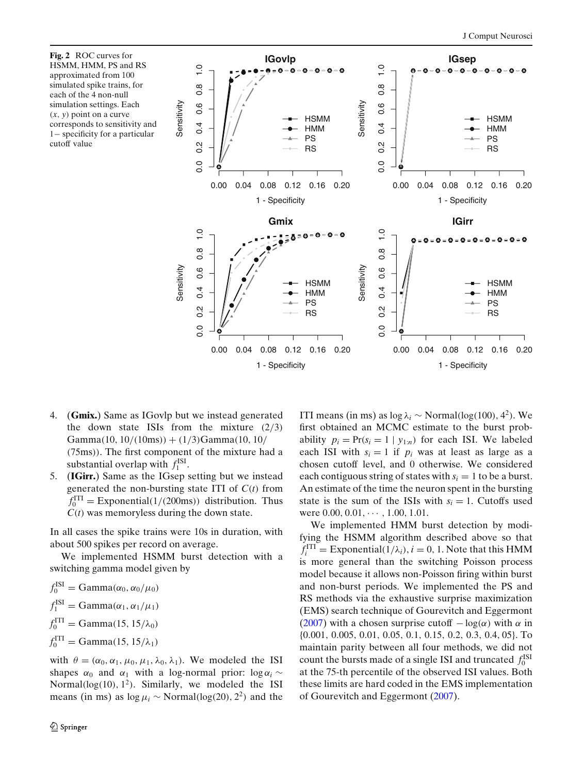<span id="page-5-0"></span>**Fig. 2** ROC curves for HSMM, HMM, PS and RS approximated from 100 simulated spike trains, for each of the 4 non-null simulation settings. Each (*x*, *y*) point on a curve corresponds to sensitivity and 1− specificity for a particular cutoff value



- 4. (**Gmix.**) Same as IGovlp but we instead generated the down state ISIs from the mixture  $(2/3)$  $Gamma(10, 10/(10ms)) + (1/3)Gamma(10, 10/$ (75ms)). The first component of the mixture had a substantial overlap with  $f_1^{\text{ISI}}$ .
- 5. (**IGirr.**) Same as the IGsep setting but we instead generated the non-bursting state ITI of *C*(*t*) from  $f_0^{\text{ITI}} = \text{Exponential}(1/(200 \text{ms}))$  distribution. Thus *C*(*t*) was memoryless during the down state.

In all cases the spike trains were 10s in duration, with about 500 spikes per record on average.

We implemented HSMM burst detection with a switching gamma model given by

 $f_0^{\text{ISI}} = \text{Gamma}(\alpha_0, \alpha_0/\mu_0)$  $f_1^{\text{ISI}} = \text{Gamma}(\alpha_1, \alpha_1/\mu_1)$  $f_0^{\text{ITI}} = \text{Gamma}(15, 15/\lambda_0)$  $f_0^{\text{ITI}} = \text{Gamma}(15, 15/\lambda_1)$ 

with  $\theta = (\alpha_0, \alpha_1, \mu_0, \mu_1, \lambda_0, \lambda_1)$ . We modeled the ISI shapes  $\alpha_0$  and  $\alpha_1$  with a log-normal prior: log  $\alpha_i$  ∼ Normal( $log(10)$ ,  $1^2$ ). Similarly, we modeled the ISI means (in ms) as  $\log \mu_i \sim \text{Normal}(\log(20), 2^2)$  and the

ITI means (in ms) as  $log \lambda_i \sim Normal(log(100), 4^2)$ . We first obtained an MCMC estimate to the burst probability  $p_i = Pr(s_i = 1 | y_{1:n})$  for each ISI. We labeled each ISI with  $s_i = 1$  if  $p_i$  was at least as large as a chosen cutoff level, and 0 otherwise. We considered each contiguous string of states with  $s_i = 1$  to be a burst. An estimate of the time the neuron spent in the bursting state is the sum of the ISIs with  $s_i = 1$ . Cutoffs used were  $0.00, 0.01, \cdots, 1.00, 1.01$ .

We implemented HMM burst detection by modifying the HSMM algorithm described above so that  $f_i^{\text{ITI}} = \text{Exponential}(1/\lambda_i), i = 0, 1.$  Note that this HMM is more general than the switching Poisson process model because it allows non-Poisson firing within burst and non-burst periods. We implemented the PS and RS methods via the exhaustive surprise maximization (EMS) search technique of Gourevitch and Eggermon[t](#page-9-0) [\(2007](#page-9-0)) with a chosen surprise cutoff  $-\log(\alpha)$  with  $\alpha$  in {0.001, 0.005, 0.01, 0.05, 0.1, 0.15, 0.2, 0.3, 0.4, 05}. To maintain parity between all four methods, we did not count the bursts made of a single ISI and truncated  $f_0^{\text{ISI}}$ at the 75-th percentile of the observed ISI values. Both these limits are hard coded in the EMS implementation of Gourevitch and Eggermon[t](#page-9-0) [\(2007](#page-9-0)).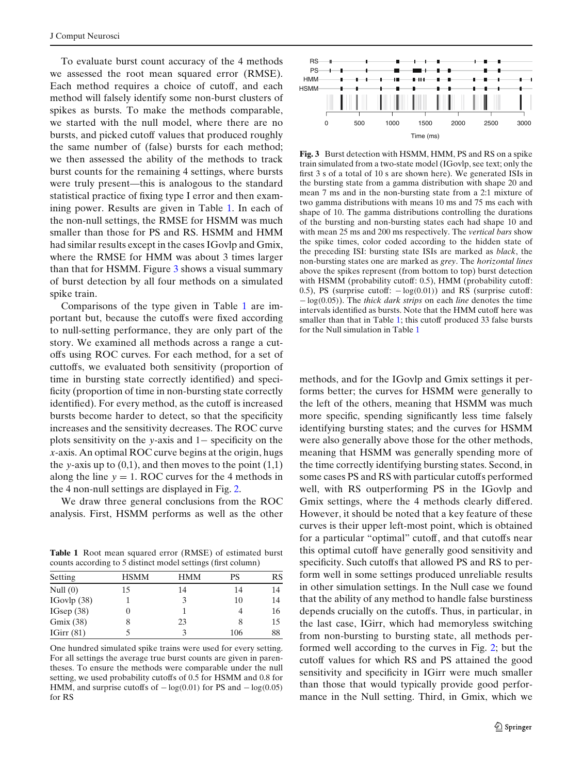To evaluate burst count accuracy of the 4 methods we assessed the root mean squared error (RMSE). Each method requires a choice of cutoff, and each method will falsely identify some non-burst clusters of spikes as bursts. To make the methods comparable, we started with the null model, where there are no bursts, and picked cutoff values that produced roughly the same number of (false) bursts for each method; we then assessed the ability of the methods to track burst counts for the remaining 4 settings, where bursts were truly present—this is analogous to the standard statistical practice of fixing type I error and then examining power. Results are given in Table 1. In each of the non-null settings, the RMSE for HSMM was much smaller than those for PS and RS. HSMM and HMM had similar results except in the cases IGovlp and Gmix, where the RMSE for HMM was about 3 times larger than that for HSMM. Figure 3 shows a visual summary of burst detection by all four methods on a simulated spike train.

Comparisons of the type given in Table 1 are important but, because the cutoffs were fixed according to null-setting performance, they are only part of the story. We examined all methods across a range a cutoffs using ROC curves. For each method, for a set of cuttoffs, we evaluated both sensitivity (proportion of time in bursting state correctly identified) and specificity (proportion of time in non-bursting state correctly identified). For every method, as the cutoff is increased bursts become harder to detect, so that the specificity increases and the sensitivity decreases. The ROC curve plots sensitivity on the *y*-axis and 1− specificity on the *x*-axis. An optimal ROC curve begins at the origin, hugs the *y*-axis up to  $(0,1)$ , and then moves to the point  $(1,1)$ along the line  $y = 1$ . ROC curves for the 4 methods in the 4 non-null settings are displayed in Fig. [2.](#page-5-0)

We draw three general conclusions from the ROC analysis. First, HSMM performs as well as the other

**Table 1** Root mean squared error (RMSE) of estimated burst counts according to 5 distinct model settings (first column)

| Setting       | <b>HSMM</b> | <b>HMM</b> | PS  | RS |
|---------------|-------------|------------|-----|----|
| Null $(0)$    | 15          | 14         | 14  | 14 |
| IGovlp $(38)$ |             |            | 10  | 14 |
| IGsep $(38)$  |             |            |     | 16 |
| Gmix (38)     |             | 23         | 8   | 15 |
| IGirr $(81)$  |             |            | 106 | 88 |

One hundred simulated spike trains were used for every setting. For all settings the average true burst counts are given in parentheses. To ensure the methods were comparable under the null setting, we used probability cutoffs of 0.5 for HSMM and 0.8 for HMM, and surprise cutoffs of  $-\log(0.01)$  for PS and  $-\log(0.05)$ for RS



**Fig. 3** Burst detection with HSMM, HMM, PS and RS on a spike train simulated from a two-state model (IGovlp, see text; only the first 3 s of a total of 10 s are shown here). We generated ISIs in the bursting state from a gamma distribution with shape 20 and mean 7 ms and in the non-bursting state from a 2:1 mixture of two gamma distributions with means 10 ms and 75 ms each with shape of 10. The gamma distributions controlling the durations of the bursting and non-bursting states each had shape 10 and with mean 25 ms and 200 ms respectively. The *vertical bars* show the spike times, color coded according to the hidden state of the preceding ISI: bursting state ISIs are marked as *black*, the non-bursting states one are marked as *grey*. The *horizontal lines* above the spikes represent (from bottom to top) burst detection with HSMM (probability cutoff: 0.5), HMM (probability cutoff: 0.5), PS (surprise cutoff:  $-\log(0.01)$ ) and RS (surprise cutoff: − log(0.05)). The *thick dark strips* on each *line* denotes the time intervals identified as bursts. Note that the HMM cutoff here was smaller than that in Table 1; this cutoff produced 33 false bursts for the Null simulation in Table 1

methods, and for the IGovlp and Gmix settings it performs better; the curves for HSMM were generally to the left of the others, meaning that HSMM was much more specific, spending significantly less time falsely identifying bursting states; and the curves for HSMM were also generally above those for the other methods, meaning that HSMM was generally spending more of the time correctly identifying bursting states. Second, in some cases PS and RS with particular cutoffs performed well, with RS outperforming PS in the IGovlp and Gmix settings, where the 4 methods clearly differed. However, it should be noted that a key feature of these curves is their upper left-most point, which is obtained for a particular "optimal" cutoff, and that cutoffs near this optimal cutoff have generally good sensitivity and specificity. Such cutoffs that allowed PS and RS to perform well in some settings produced unreliable results in other simulation settings. In the Null case we found that the ability of any method to handle false burstiness depends crucially on the cutoffs. Thus, in particular, in the last case, IGirr, which had memoryless switching from non-bursting to bursting state, all methods performed well according to the curves in Fig. [2;](#page-5-0) but the cutoff values for which RS and PS attained the good sensitivity and specificity in IGirr were much smaller than those that would typically provide good performance in the Null setting. Third, in Gmix, which we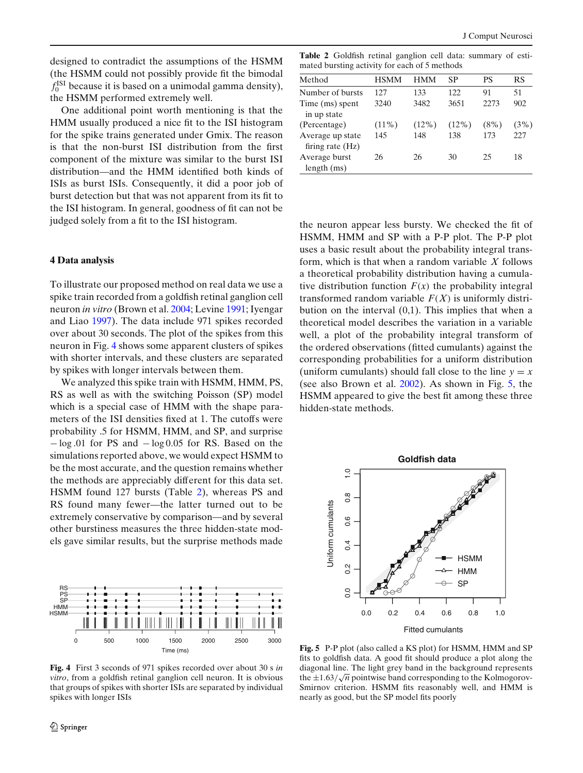<span id="page-7-0"></span>designed to contradict the assumptions of the HSMM (the HSMM could not possibly provide fit the bimodal  $f_0^{\text{ISI}}$  because it is based on a unimodal gamma density), the HSMM performed extremely well.

One additional point worth mentioning is that the HMM usually produced a nice fit to the ISI histogram for the spike trains generated under Gmix. The reason is that the non-burst ISI distribution from the first component of the mixture was similar to the burst ISI distribution—and the HMM identified both kinds of ISIs as burst ISIs. Consequently, it did a poor job of burst detection but that was not apparent from its fit to the ISI histogram. In general, goodness of fit can not be judged solely from a fit to the ISI histogram.

## **4 Data analysis**

To illustrate our proposed method on real data we use a spike train recorded from a goldfish retinal ganglion cell neuron *in vitro* (Brown et al[.](#page-8-0) [2004;](#page-8-0) Levin[e](#page-9-0) [1991](#page-9-0); Iyengar and Lia[o](#page-9-0) [1997\)](#page-9-0). The data include 971 spikes recorded over about 30 seconds. The plot of the spikes from this neuron in Fig. 4 shows some apparent clusters of spikes with shorter intervals, and these clusters are separated by spikes with longer intervals between them.

We analyzed this spike train with HSMM, HMM, PS, RS as well as with the switching Poisson (SP) model which is a special case of HMM with the shape parameters of the ISI densities fixed at 1. The cutoffs were probability .5 for HSMM, HMM, and SP, and surprise − log .01 for PS and − log 0.05 for RS. Based on the simulations reported above, we would expect HSMM to be the most accurate, and the question remains whether the methods are appreciably different for this data set. HSMM found 127 bursts (Table 2), whereas PS and RS found many fewer—the latter turned out to be extremely conservative by comparison—and by several other burstiness measures the three hidden-state models gave similar results, but the surprise methods made



**Fig. 4** First 3 seconds of 971 spikes recorded over about 30 s *in vitro*, from a goldfish retinal ganglion cell neuron. It is obvious that groups of spikes with shorter ISIs are separated by individual spikes with longer ISIs

**Table 2** Goldfish retinal ganglion cell data: summary of estimated bursting activity for each of 5 methods

| Method             | <b>HSMM</b> | HMM      | SP       | PS      | <b>RS</b> |
|--------------------|-------------|----------|----------|---------|-----------|
| Number of bursts   | 127         | 133      | 122.     | 91      | 51        |
| Time (ms) spent    | 3240        | 3482     | 3651     | 2273    | 902       |
| in up state        |             |          |          |         |           |
| (Percentage)       | $(11\%)$    | $(12\%)$ | $(12\%)$ | $(8\%)$ | (3%)      |
| Average up state   | 145         | 148      | 138      | 173     | 227       |
| firing rate $(Hz)$ |             |          |          |         |           |
| Average burst      | 26          | 26       | 30       | 25      | 18        |
| length(ms)         |             |          |          |         |           |

the neuron appear less bursty. We checked the fit of HSMM, HMM and SP with a P-P plot. The P-P plot uses a basic result about the probability integral transform, which is that when a random variable *X* follows a theoretical probability distribution having a cumulative distribution function  $F(x)$  the probability integral transformed random variable  $F(X)$  is uniformly distribution on the interval (0,1). This implies that when a theoretical model describes the variation in a variable well, a plot of the probability integral transform of the ordered observations (fitted cumulants) against the corresponding probabilities for a uniform distribution (uniform cumulants) should fall close to the line  $y = x$ (see also Brown et al[.](#page-8-0) [2002\)](#page-8-0). As shown in Fig. 5, the HSMM appeared to give the best fit among these three hidden-state methods.



**Fig. 5** P-P plot (also called a KS plot) for HSMM, HMM and SP fits to goldfish data. A good fit should produce a plot along the diagonal line. The light grey band in the background represents diagonal line. The fight grey band in the background represents<br>the  $\pm 1.63/\sqrt{n}$  pointwise band corresponding to the Kolmogorov-Smirnov criterion. HSMM fits reasonably well, and HMM is nearly as good, but the SP model fits poorly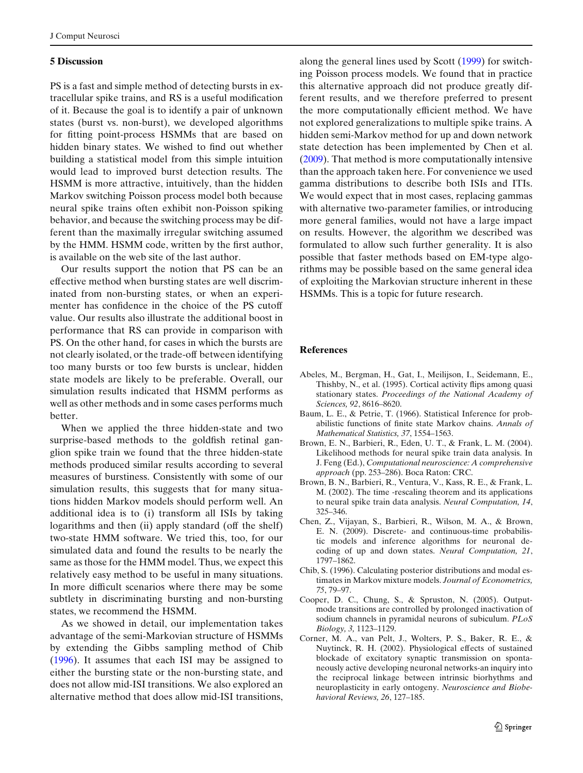# <span id="page-8-0"></span>**5 Discussion**

PS is a fast and simple method of detecting bursts in extracellular spike trains, and RS is a useful modification of it. Because the goal is to identify a pair of unknown states (burst vs. non-burst), we developed algorithms for fitting point-process HSMMs that are based on hidden binary states. We wished to find out whether building a statistical model from this simple intuition would lead to improved burst detection results. The HSMM is more attractive, intuitively, than the hidden Markov switching Poisson process model both because neural spike trains often exhibit non-Poisson spiking behavior, and because the switching process may be different than the maximally irregular switching assumed by the HMM. HSMM code, written by the first author, is available on the web site of the last author.

Our results support the notion that PS can be an effective method when bursting states are well discriminated from non-bursting states, or when an experimenter has confidence in the choice of the PS cutoff value. Our results also illustrate the additional boost in performance that RS can provide in comparison with PS. On the other hand, for cases in which the bursts are not clearly isolated, or the trade-off between identifying too many bursts or too few bursts is unclear, hidden state models are likely to be preferable. Overall, our simulation results indicated that HSMM performs as well as other methods and in some cases performs much better.

When we applied the three hidden-state and two surprise-based methods to the goldfish retinal ganglion spike train we found that the three hidden-state methods produced similar results according to several measures of burstiness. Consistently with some of our simulation results, this suggests that for many situations hidden Markov models should perform well. An additional idea is to (i) transform all ISIs by taking logarithms and then (ii) apply standard (off the shelf) two-state HMM software. We tried this, too, for our simulated data and found the results to be nearly the same as those for the HMM model. Thus, we expect this relatively easy method to be useful in many situations. In more difficult scenarios where there may be some subtlety in discriminating bursting and non-bursting states, we recommend the HSMM.

As we showed in detail, our implementation takes advantage of the semi-Markovian structure of HSMMs by extending the Gibbs sampling method of Chib (1996). It assumes that each ISI may be assigned to either the bursting state or the non-bursting state, and does not allow mid-ISI transitions. We also explored an alternative method that does allow mid-ISI transitions, along the general lines used by Scot[t](#page-9-0) [\(1999\)](#page-9-0) for switching Poisson process models. We found that in practice this alternative approach did not produce greatly different results, and we therefore preferred to present the more computationally efficient method. We have not explored generalizations to multiple spike trains. A hidden semi-Markov method for up and down network state detection has been implemented by Chen et al. (2009). That method is more computationally intensive than the approach taken here. For convenience we used gamma distributions to describe both ISIs and ITIs. We would expect that in most cases, replacing gammas with alternative two-parameter families, or introducing more general families, would not have a large impact on results. However, the algorithm we described was formulated to allow such further generality. It is also possible that faster methods based on EM-type algorithms may be possible based on the same general idea of exploiting the Markovian structure inherent in these HSMMs. This is a topic for future research.

## **References**

- Abeles, M., Bergman, H., Gat, I., Meilijson, I., Seidemann, E., Thishby, N., et al. (1995). Cortical activity flips among quasi stationary states. *Proceedings of the National Academy of Sciences, 92*, 8616–8620.
- Baum, L. E., & Petrie, T. (1966). Statistical Inference for probabilistic functions of finite state Markov chains. *Annals of Mathematical Statistics, 37*, 1554–1563.
- Brown, E. N., Barbieri, R., Eden, U. T., & Frank, L. M. (2004). Likelihood methods for neural spike train data analysis. In J. Feng (Ed.), *Computational neuroscience: A comprehensive approach* (pp. 253–286). Boca Raton: CRC.
- Brown, B. N., Barbieri, R., Ventura, V., Kass, R. E., & Frank, L. M. (2002). The time -rescaling theorem and its applications to neural spike train data analysis. *Neural Computation, 14*, 325–346.
- Chen, Z., Vijayan, S., Barbieri, R., Wilson, M. A., & Brown, E. N. (2009). Discrete- and continuous-time probabilistic models and inference algorithms for neuronal decoding of up and down states. *Neural Computation, 21*, 1797–1862.
- Chib, S. (1996). Calculating posterior distributions and modal estimates in Markov mixture models. *Journal of Econometrics, 75*, 79–97.
- Cooper, D. C., Chung, S., & Spruston, N. (2005). Outputmode transitions are controlled by prolonged inactivation of sodium channels in pyramidal neurons of subiculum. *PLoS Biology, 3,* 1123–1129.
- Corner, M. A., van Pelt, J., Wolters, P. S., Baker, R. E., & Nuytinck, R. H. (2002). Physiological effects of sustained blockade of excitatory synaptic transmission on spontaneously active developing neuronal networks-an inquiry into the reciprocal linkage between intrinsic biorhythms and neuroplasticity in early ontogeny. *Neuroscience and Biobehavioral Reviews, 26*, 127–185.